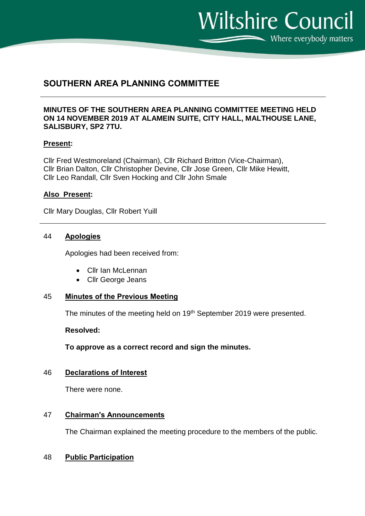$\sum$  Where everybody matters

**Wiltshire Council** 

# **SOUTHERN AREA PLANNING COMMITTEE**

# **MINUTES OF THE SOUTHERN AREA PLANNING COMMITTEE MEETING HELD ON 14 NOVEMBER 2019 AT ALAMEIN SUITE, CITY HALL, MALTHOUSE LANE, SALISBURY, SP2 7TU.**

# **Present:**

Cllr Fred Westmoreland (Chairman), Cllr Richard Britton (Vice-Chairman), Cllr Brian Dalton, Cllr Christopher Devine, Cllr Jose Green, Cllr Mike Hewitt, Cllr Leo Randall, Cllr Sven Hocking and Cllr John Smale

## **Also Present:**

Cllr Mary Douglas, Cllr Robert Yuill

## 44 **Apologies**

Apologies had been received from:

- Cllr Ian McLennan
- Cllr George Jeans

## 45 **Minutes of the Previous Meeting**

The minutes of the meeting held on 19<sup>th</sup> September 2019 were presented.

#### **Resolved:**

**To approve as a correct record and sign the minutes.**

## 46 **Declarations of Interest**

There were none.

# 47 **Chairman's Announcements**

The Chairman explained the meeting procedure to the members of the public.

## 48 **Public Participation**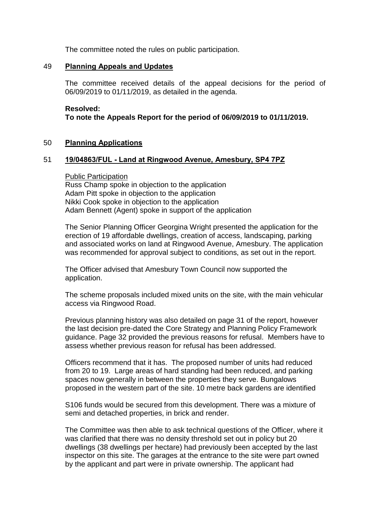The committee noted the rules on public participation.

# 49 **Planning Appeals and Updates**

The committee received details of the appeal decisions for the period of 06/09/2019 to 01/11/2019, as detailed in the agenda.

### **Resolved:**

**To note the Appeals Report for the period of 06/09/2019 to 01/11/2019.**

# 50 **Planning Applications**

## 51 **19/04863/FUL - Land at Ringwood Avenue, Amesbury, SP4 7PZ**

#### Public Participation

Russ Champ spoke in objection to the application Adam Pitt spoke in objection to the application Nikki Cook spoke in objection to the application Adam Bennett (Agent) spoke in support of the application

The Senior Planning Officer Georgina Wright presented the application for the erection of 19 affordable dwellings, creation of access, landscaping, parking and associated works on land at Ringwood Avenue, Amesbury. The application was recommended for approval subject to conditions, as set out in the report.

The Officer advised that Amesbury Town Council now supported the application.

The scheme proposals included mixed units on the site, with the main vehicular access via Ringwood Road.

Previous planning history was also detailed on page 31 of the report, however the last decision pre-dated the Core Strategy and Planning Policy Framework guidance. Page 32 provided the previous reasons for refusal. Members have to assess whether previous reason for refusal has been addressed.

Officers recommend that it has. The proposed number of units had reduced from 20 to 19. Large areas of hard standing had been reduced, and parking spaces now generally in between the properties they serve. Bungalows proposed in the western part of the site. 10 metre back gardens are identified

S106 funds would be secured from this development. There was a mixture of semi and detached properties, in brick and render.

The Committee was then able to ask technical questions of the Officer, where it was clarified that there was no density threshold set out in policy but 20 dwellings (38 dwellings per hectare) had previously been accepted by the last inspector on this site. The garages at the entrance to the site were part owned by the applicant and part were in private ownership. The applicant had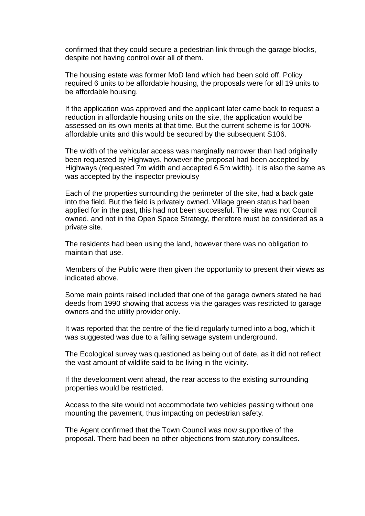confirmed that they could secure a pedestrian link through the garage blocks, despite not having control over all of them.

The housing estate was former MoD land which had been sold off. Policy required 6 units to be affordable housing, the proposals were for all 19 units to be affordable housing.

If the application was approved and the applicant later came back to request a reduction in affordable housing units on the site, the application would be assessed on its own merits at that time. But the current scheme is for 100% affordable units and this would be secured by the subsequent S106.

The width of the vehicular access was marginally narrower than had originally been requested by Highways, however the proposal had been accepted by Highways (requested 7m width and accepted 6.5m width). It is also the same as was accepted by the inspector previoulsy

Each of the properties surrounding the perimeter of the site, had a back gate into the field. But the field is privately owned. Village green status had been applied for in the past, this had not been successful. The site was not Council owned, and not in the Open Space Strategy, therefore must be considered as a private site.

The residents had been using the land, however there was no obligation to maintain that use.

Members of the Public were then given the opportunity to present their views as indicated above.

Some main points raised included that one of the garage owners stated he had deeds from 1990 showing that access via the garages was restricted to garage owners and the utility provider only.

It was reported that the centre of the field regularly turned into a bog, which it was suggested was due to a failing sewage system underground.

The Ecological survey was questioned as being out of date, as it did not reflect the vast amount of wildlife said to be living in the vicinity.

If the development went ahead, the rear access to the existing surrounding properties would be restricted.

Access to the site would not accommodate two vehicles passing without one mounting the pavement, thus impacting on pedestrian safety.

The Agent confirmed that the Town Council was now supportive of the proposal. There had been no other objections from statutory consultees.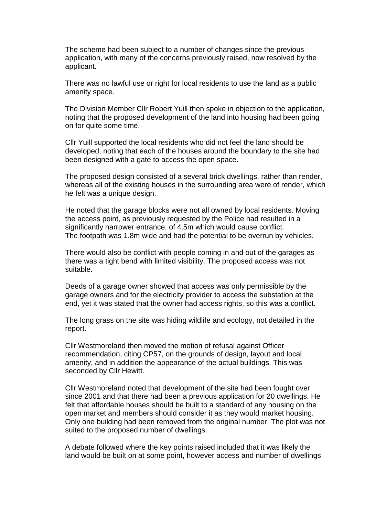The scheme had been subject to a number of changes since the previous application, with many of the concerns previously raised, now resolved by the applicant.

There was no lawful use or right for local residents to use the land as a public amenity space.

The Division Member Cllr Robert Yuill then spoke in objection to the application, noting that the proposed development of the land into housing had been going on for quite some time.

Cllr Yuill supported the local residents who did not feel the land should be developed, noting that each of the houses around the boundary to the site had been designed with a gate to access the open space.

The proposed design consisted of a several brick dwellings, rather than render, whereas all of the existing houses in the surrounding area were of render, which he felt was a unique design.

He noted that the garage blocks were not all owned by local residents. Moving the access point, as previously requested by the Police had resulted in a significantly narrower entrance, of 4.5m which would cause conflict. The footpath was 1.8m wide and had the potential to be overrun by vehicles.

There would also be conflict with people coming in and out of the garages as there was a tight bend with limited visibility. The proposed access was not suitable.

Deeds of a garage owner showed that access was only permissible by the garage owners and for the electricity provider to access the substation at the end, yet it was stated that the owner had access rights, so this was a conflict.

The long grass on the site was hiding wildlife and ecology, not detailed in the report.

Cllr Westmoreland then moved the motion of refusal against Officer recommendation, citing CP57, on the grounds of design, layout and local amenity, and in addition the appearance of the actual buildings. This was seconded by Cllr Hewitt.

Cllr Westmoreland noted that development of the site had been fought over since 2001 and that there had been a previous application for 20 dwellings. He felt that affordable houses should be built to a standard of any housing on the open market and members should consider it as they would market housing. Only one building had been removed from the original number. The plot was not suited to the proposed number of dwellings.

A debate followed where the key points raised included that it was likely the land would be built on at some point, however access and number of dwellings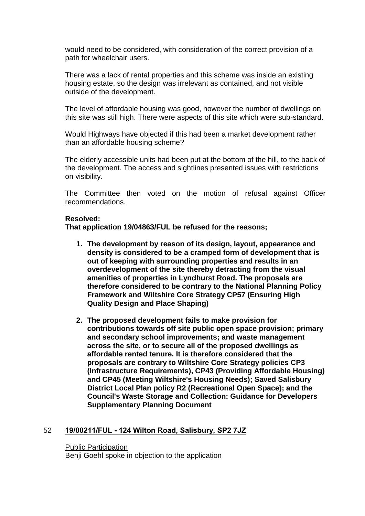would need to be considered, with consideration of the correct provision of a path for wheelchair users.

There was a lack of rental properties and this scheme was inside an existing housing estate, so the design was irrelevant as contained, and not visible outside of the development.

The level of affordable housing was good, however the number of dwellings on this site was still high. There were aspects of this site which were sub-standard.

Would Highways have objected if this had been a market development rather than an affordable housing scheme?

The elderly accessible units had been put at the bottom of the hill, to the back of the development. The access and sightlines presented issues with restrictions on visibility.

The Committee then voted on the motion of refusal against Officer recommendations.

## **Resolved:**

**That application 19/04863/FUL be refused for the reasons;**

- **1. The development by reason of its design, layout, appearance and density is considered to be a cramped form of development that is out of keeping with surrounding properties and results in an overdevelopment of the site thereby detracting from the visual amenities of properties in Lyndhurst Road. The proposals are therefore considered to be contrary to the National Planning Policy Framework and Wiltshire Core Strategy CP57 (Ensuring High Quality Design and Place Shaping)**
- **2. The proposed development fails to make provision for contributions towards off site public open space provision; primary and secondary school improvements; and waste management across the site, or to secure all of the proposed dwellings as affordable rented tenure. It is therefore considered that the proposals are contrary to Wiltshire Core Strategy policies CP3 (Infrastructure Requirements), CP43 (Providing Affordable Housing) and CP45 (Meeting Wiltshire's Housing Needs); Saved Salisbury District Local Plan policy R2 (Recreational Open Space); and the Council's Waste Storage and Collection: Guidance for Developers Supplementary Planning Document**

## 52 **19/00211/FUL - 124 Wilton Road, Salisbury, SP2 7JZ**

#### Public Participation

Benji Goehl spoke in objection to the application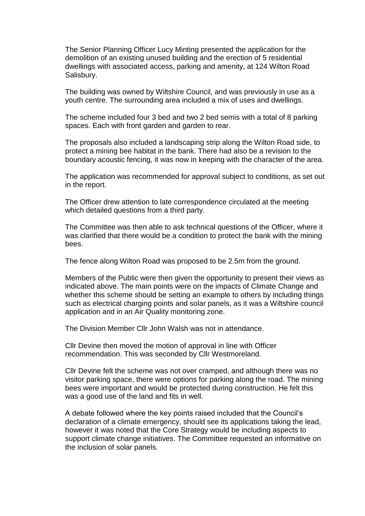The Senior Planning Officer Lucy Minting presented the application for the demolition of an existing unused building and the erection of 5 residential dwellings with associated access, parking and amenity, at 124 Wilton Road Salisbury.

The building was owned by Wiltshire Council, and was previously in use as a youth centre. The surrounding area included a mix of uses and dwellings.

The scheme included four 3 bed and two 2 bed semis with a total of 8 parking spaces. Each with front garden and garden to rear.

The proposals also included a landscaping strip along the Wilton Road side, to protect a mining bee habitat in the bank. There had also be a revision to the boundary acoustic fencing, it was now in keeping with the character of the area.

The application was recommended for approval subject to conditions, as set out in the report.

The Officer drew attention to late correspondence circulated at the meeting which detailed questions from a third party.

The Committee was then able to ask technical questions of the Officer, where it was clarified that there would be a condition to protect the bank with the mining bees.

The fence along Wilton Road was proposed to be 2.5m from the ground.

Members of the Public were then given the opportunity to present their views as indicated above. The main points were on the impacts of Climate Change and whether this scheme should be setting an example to others by including things such as electrical charging points and solar panels, as it was a Wiltshire council application and in an Air Quality monitoring zone.

The Division Member Cllr John Walsh was not in attendance.

Cllr Devine then moved the motion of approval in line with Officer recommendation. This was seconded by Cllr Westmoreland.

Cllr Devine felt the scheme was not over cramped, and although there was no visitor parking space, there were options for parking along the road. The mining bees were important and would be protected during construction. He felt this was a good use of the land and fits in well.

A debate followed where the key points raised included that the Council's declaration of a climate emergency, should see its applications taking the lead, however it was noted that the Core Strategy would be including aspects to support climate change initiatives. The Committee requested an informative on the inclusion of solar panels.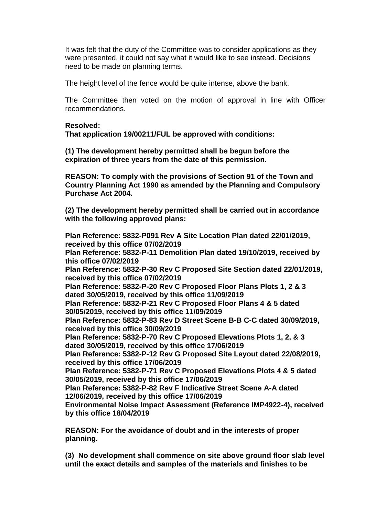It was felt that the duty of the Committee was to consider applications as they were presented, it could not say what it would like to see instead. Decisions need to be made on planning terms.

The height level of the fence would be quite intense, above the bank.

The Committee then voted on the motion of approval in line with Officer recommendations.

## **Resolved:**

**That application 19/00211/FUL be approved with conditions:** 

**(1) The development hereby permitted shall be begun before the expiration of three years from the date of this permission.** 

**REASON: To comply with the provisions of Section 91 of the Town and Country Planning Act 1990 as amended by the Planning and Compulsory Purchase Act 2004.**

**(2) The development hereby permitted shall be carried out in accordance with the following approved plans:** 

**Plan Reference: 5832-P091 Rev A Site Location Plan dated 22/01/2019, received by this office 07/02/2019 Plan Reference: 5832-P-11 Demolition Plan dated 19/10/2019, received by this office 07/02/2019 Plan Reference: 5832-P-30 Rev C Proposed Site Section dated 22/01/2019, received by this office 07/02/2019 Plan Reference: 5832-P-20 Rev C Proposed Floor Plans Plots 1, 2 & 3 dated 30/05/2019, received by this office 11/09/2019 Plan Reference: 5832-P-21 Rev C Proposed Floor Plans 4 & 5 dated 30/05/2019, received by this office 11/09/2019 Plan Reference: 5832-P-83 Rev D Street Scene B-B C-C dated 30/09/2019, received by this office 30/09/2019 Plan Reference: 5832-P-70 Rev C Proposed Elevations Plots 1, 2, & 3 dated 30/05/2019, received by this office 17/06/2019 Plan Reference: 5382-P-12 Rev G Proposed Site Layout dated 22/08/2019, received by this office 17/06/2019 Plan Reference: 5382-P-71 Rev C Proposed Elevations Plots 4 & 5 dated 30/05/2019, received by this office 17/06/2019 Plan Reference: 5382-P-82 Rev F Indicative Street Scene A-A dated 12/06/2019, received by this office 17/06/2019 Environmental Noise Impact Assessment (Reference IMP4922-4), received by this office 18/04/2019**

**REASON: For the avoidance of doubt and in the interests of proper planning.**

**(3) No development shall commence on site above ground floor slab level until the exact details and samples of the materials and finishes to be**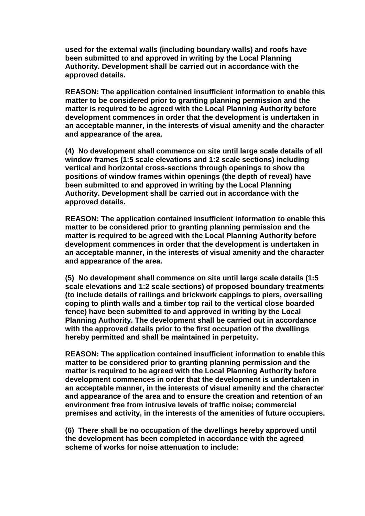**used for the external walls (including boundary walls) and roofs have been submitted to and approved in writing by the Local Planning Authority. Development shall be carried out in accordance with the approved details.**

**REASON: The application contained insufficient information to enable this matter to be considered prior to granting planning permission and the matter is required to be agreed with the Local Planning Authority before development commences in order that the development is undertaken in an acceptable manner, in the interests of visual amenity and the character and appearance of the area.**

**(4) No development shall commence on site until large scale details of all window frames (1:5 scale elevations and 1:2 scale sections) including vertical and horizontal cross-sections through openings to show the positions of window frames within openings (the depth of reveal) have been submitted to and approved in writing by the Local Planning Authority. Development shall be carried out in accordance with the approved details.**

**REASON: The application contained insufficient information to enable this matter to be considered prior to granting planning permission and the matter is required to be agreed with the Local Planning Authority before development commences in order that the development is undertaken in an acceptable manner, in the interests of visual amenity and the character and appearance of the area.**

**(5) No development shall commence on site until large scale details (1:5 scale elevations and 1:2 scale sections) of proposed boundary treatments (to include details of railings and brickwork cappings to piers, oversailing coping to plinth walls and a timber top rail to the vertical close boarded fence) have been submitted to and approved in writing by the Local Planning Authority. The development shall be carried out in accordance with the approved details prior to the first occupation of the dwellings hereby permitted and shall be maintained in perpetuity.**

**REASON: The application contained insufficient information to enable this matter to be considered prior to granting planning permission and the matter is required to be agreed with the Local Planning Authority before development commences in order that the development is undertaken in an acceptable manner, in the interests of visual amenity and the character and appearance of the area and to ensure the creation and retention of an environment free from intrusive levels of traffic noise; commercial premises and activity, in the interests of the amenities of future occupiers.**

**(6) There shall be no occupation of the dwellings hereby approved until the development has been completed in accordance with the agreed scheme of works for noise attenuation to include:**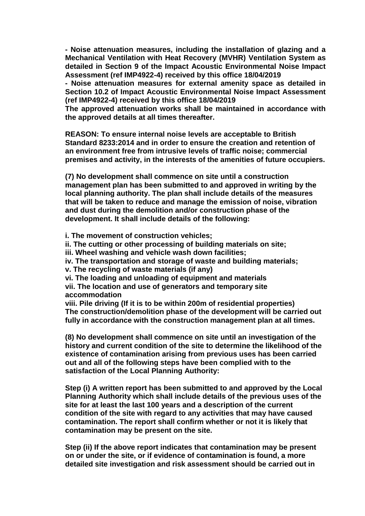**- Noise attenuation measures, including the installation of glazing and a Mechanical Ventilation with Heat Recovery (MVHR) Ventilation System as detailed in Section 9 of the Impact Acoustic Environmental Noise Impact Assessment (ref IMP4922-4) received by this office 18/04/2019**

**- Noise attenuation measures for external amenity space as detailed in Section 10.2 of Impact Acoustic Environmental Noise Impact Assessment (ref IMP4922-4) received by this office 18/04/2019**

**The approved attenuation works shall be maintained in accordance with the approved details at all times thereafter.**

**REASON: To ensure internal noise levels are acceptable to British Standard 8233:2014 and in order to ensure the creation and retention of an environment free from intrusive levels of traffic noise; commercial premises and activity, in the interests of the amenities of future occupiers.**

**(7) No development shall commence on site until a construction management plan has been submitted to and approved in writing by the local planning authority. The plan shall include details of the measures that will be taken to reduce and manage the emission of noise, vibration and dust during the demolition and/or construction phase of the development. It shall include details of the following:**

**i. The movement of construction vehicles;**

**ii. The cutting or other processing of building materials on site;**

**iii. Wheel washing and vehicle wash down facilities;**

**iv. The transportation and storage of waste and building materials;**

**v. The recycling of waste materials (if any)**

**vi. The loading and unloading of equipment and materials**

**vii. The location and use of generators and temporary site accommodation**

**viii. Pile driving (If it is to be within 200m of residential properties) The construction/demolition phase of the development will be carried out fully in accordance with the construction management plan at all times.**

**(8) No development shall commence on site until an investigation of the history and current condition of the site to determine the likelihood of the existence of contamination arising from previous uses has been carried out and all of the following steps have been complied with to the satisfaction of the Local Planning Authority:**

**Step (i) A written report has been submitted to and approved by the Local Planning Authority which shall include details of the previous uses of the site for at least the last 100 years and a description of the current condition of the site with regard to any activities that may have caused contamination. The report shall confirm whether or not it is likely that contamination may be present on the site.**

**Step (ii) If the above report indicates that contamination may be present on or under the site, or if evidence of contamination is found, a more detailed site investigation and risk assessment should be carried out in**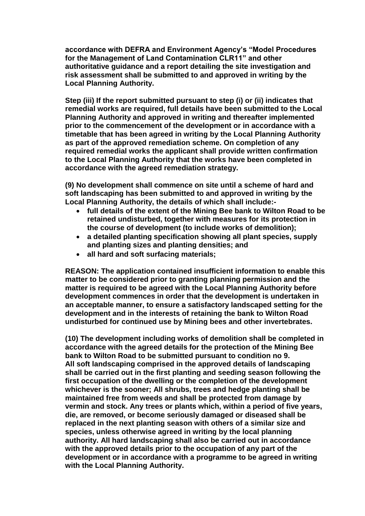**accordance with DEFRA and Environment Agency's "Model Procedures for the Management of Land Contamination CLR11" and other authoritative guidance and a report detailing the site investigation and risk assessment shall be submitted to and approved in writing by the Local Planning Authority.**

**Step (iii) If the report submitted pursuant to step (i) or (ii) indicates that remedial works are required, full details have been submitted to the Local Planning Authority and approved in writing and thereafter implemented prior to the commencement of the development or in accordance with a timetable that has been agreed in writing by the Local Planning Authority as part of the approved remediation scheme. On completion of any required remedial works the applicant shall provide written confirmation to the Local Planning Authority that the works have been completed in accordance with the agreed remediation strategy.**

**(9) No development shall commence on site until a scheme of hard and soft landscaping has been submitted to and approved in writing by the Local Planning Authority, the details of which shall include:-**

- **full details of the extent of the Mining Bee bank to Wilton Road to be retained undisturbed, together with measures for its protection in the course of development (to include works of demolition);**
- **a detailed planting specification showing all plant species, supply and planting sizes and planting densities; and**
- **all hard and soft surfacing materials;**

**REASON: The application contained insufficient information to enable this matter to be considered prior to granting planning permission and the matter is required to be agreed with the Local Planning Authority before development commences in order that the development is undertaken in an acceptable manner, to ensure a satisfactory landscaped setting for the development and in the interests of retaining the bank to Wilton Road undisturbed for continued use by Mining bees and other invertebrates.**

**(10) The development including works of demolition shall be completed in accordance with the agreed details for the protection of the Mining Bee bank to Wilton Road to be submitted pursuant to condition no 9. All soft landscaping comprised in the approved details of landscaping shall be carried out in the first planting and seeding season following the first occupation of the dwelling or the completion of the development whichever is the sooner; All shrubs, trees and hedge planting shall be maintained free from weeds and shall be protected from damage by vermin and stock. Any trees or plants which, within a period of five years, die, are removed, or become seriously damaged or diseased shall be replaced in the next planting season with others of a similar size and species, unless otherwise agreed in writing by the local planning authority. All hard landscaping shall also be carried out in accordance with the approved details prior to the occupation of any part of the development or in accordance with a programme to be agreed in writing with the Local Planning Authority.**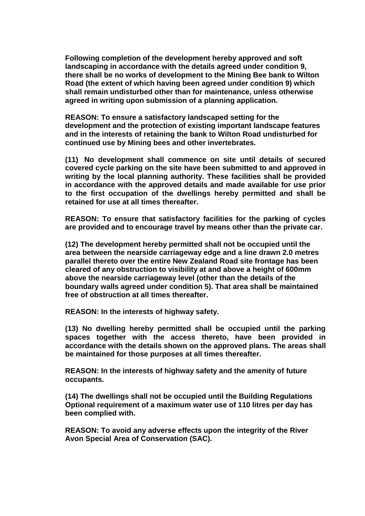**Following completion of the development hereby approved and soft landscaping in accordance with the details agreed under condition 9, there shall be no works of development to the Mining Bee bank to Wilton Road (the extent of which having been agreed under condition 9) which shall remain undisturbed other than for maintenance, unless otherwise agreed in writing upon submission of a planning application.**

**REASON: To ensure a satisfactory landscaped setting for the development and the protection of existing important landscape features and in the interests of retaining the bank to Wilton Road undisturbed for continued use by Mining bees and other invertebrates.**

**(11) No development shall commence on site until details of secured covered cycle parking on the site have been submitted to and approved in writing by the local planning authority. These facilities shall be provided in accordance with the approved details and made available for use prior to the first occupation of the dwellings hereby permitted and shall be retained for use at all times thereafter.** 

**REASON: To ensure that satisfactory facilities for the parking of cycles are provided and to encourage travel by means other than the private car.** 

**(12) The development hereby permitted shall not be occupied until the area between the nearside carriageway edge and a line drawn 2.0 metres parallel thereto over the entire New Zealand Road site frontage has been cleared of any obstruction to visibility at and above a height of 600mm above the nearside carriageway level (other than the details of the boundary walls agreed under condition 5). That area shall be maintained free of obstruction at all times thereafter.**

**REASON: In the interests of highway safety.**

**(13) No dwelling hereby permitted shall be occupied until the parking spaces together with the access thereto, have been provided in accordance with the details shown on the approved plans. The areas shall be maintained for those purposes at all times thereafter.**

**REASON: In the interests of highway safety and the amenity of future occupants.**

**(14) The dwellings shall not be occupied until the Building Regulations Optional requirement of a maximum water use of 110 litres per day has been complied with.**

**REASON: To avoid any adverse effects upon the integrity of the River Avon Special Area of Conservation (SAC).**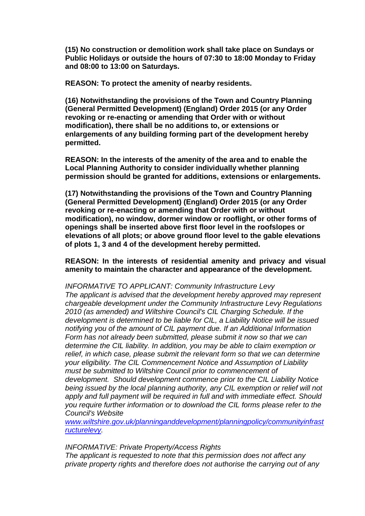**(15) No construction or demolition work shall take place on Sundays or Public Holidays or outside the hours of 07:30 to 18:00 Monday to Friday and 08:00 to 13:00 on Saturdays.**

**REASON: To protect the amenity of nearby residents.**

**(16) Notwithstanding the provisions of the Town and Country Planning (General Permitted Development) (England) Order 2015 (or any Order revoking or re-enacting or amending that Order with or without modification), there shall be no additions to, or extensions or enlargements of any building forming part of the development hereby permitted.** 

**REASON: In the interests of the amenity of the area and to enable the Local Planning Authority to consider individually whether planning permission should be granted for additions, extensions or enlargements.**

**(17) Notwithstanding the provisions of the Town and Country Planning (General Permitted Development) (England) Order 2015 (or any Order revoking or re-enacting or amending that Order with or without modification), no window, dormer window or rooflight, or other forms of openings shall be inserted above first floor level in the roofslopes or elevations of all plots; or above ground floor level to the gable elevations of plots 1, 3 and 4 of the development hereby permitted.** 

**REASON: In the interests of residential amenity and privacy and visual amenity to maintain the character and appearance of the development.**

*INFORMATIVE TO APPLICANT: Community Infrastructure Levy The applicant is advised that the development hereby approved may represent chargeable development under the Community Infrastructure Levy Regulations 2010 (as amended) and Wiltshire Council's CIL Charging Schedule. If the development is determined to be liable for CIL, a Liability Notice will be issued notifying you of the amount of CIL payment due. If an Additional Information Form has not already been submitted, please submit it now so that we can determine the CIL liability. In addition, you may be able to claim exemption or*  relief, in which case, please submit the relevant form so that we can determine *your eligibility. The CIL Commencement Notice and Assumption of Liability must be submitted to Wiltshire Council prior to commencement of development. Should development commence prior to the CIL Liability Notice being issued by the local planning authority, any CIL exemption or relief will not apply and full payment will be required in full and with immediate effect. Should you require further information or to download the CIL forms please refer to the Council's Website* 

*[www.wiltshire.gov.uk/planninganddevelopment/planningpolicy/communityinfrast](http://www.wiltshire.gov.uk/planninganddevelopment/planningpolicy/communityinfrastructurelevy) [ructurelevy.](http://www.wiltshire.gov.uk/planninganddevelopment/planningpolicy/communityinfrastructurelevy)*

*INFORMATIVE: Private Property/Access Rights*

*The applicant is requested to note that this permission does not affect any private property rights and therefore does not authorise the carrying out of any*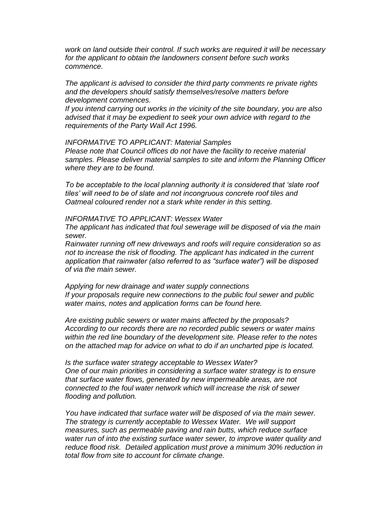*work on land outside their control. If such works are required it will be necessary for the applicant to obtain the landowners consent before such works commence.*

*The applicant is advised to consider the third party comments re private rights and the developers should satisfy themselves/resolve matters before development commences.*

*If you intend carrying out works in the vicinity of the site boundary, you are also advised that it may be expedient to seek your own advice with regard to the requirements of the Party Wall Act 1996.*

*INFORMATIVE TO APPLICANT: Material Samples*

*Please note that Council offices do not have the facility to receive material samples. Please deliver material samples to site and inform the Planning Officer where they are to be found.*

*To be acceptable to the local planning authority it is considered that 'slate roof tiles' will need to be of slate and not incongruous concrete roof tiles and Oatmeal coloured render not a stark white render in this setting.*

*INFORMATIVE TO APPLICANT: Wessex Water*

*The applicant has indicated that foul sewerage will be disposed of via the main sewer.*

*Rainwater running off new driveways and roofs will require consideration so as not to increase the risk of flooding. The applicant has indicated in the current application that rainwater (also referred to as "surface water") will be disposed of via the main sewer.*

*Applying for new drainage and water supply connections If your proposals require new connections to the public foul sewer and public water mains, notes and application forms can be found here.*

*Are existing public sewers or water mains affected by the proposals? According to our records there are no recorded public sewers or water mains within the red line boundary of the development site. Please refer to the notes on the attached map for advice on what to do if an uncharted pipe is located.*

*Is the surface water strategy acceptable to Wessex Water? One of our main priorities in considering a surface water strategy is to ensure that surface water flows, generated by new impermeable areas, are not connected to the foul water network which will increase the risk of sewer flooding and pollution.*

*You have indicated that surface water will be disposed of via the main sewer. The strategy is currently acceptable to Wessex Water. We will support measures, such as permeable paving and rain butts, which reduce surface water run of into the existing surface water sewer, to improve water quality and reduce flood risk. Detailed application must prove a minimum 30% reduction in total flow from site to account for climate change.*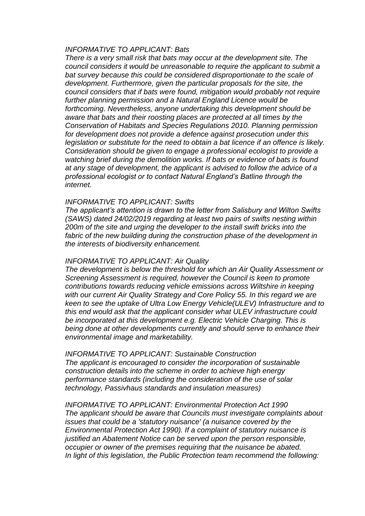#### *INFORMATIVE TO APPLICANT: Bats*

*There is a very small risk that bats may occur at the development site. The council considers it would be unreasonable to require the applicant to submit a*  bat survey because this could be considered disproportionate to the scale of *development. Furthermore, given the particular proposals for the site, the council considers that if bats were found, mitigation would probably not require further planning permission and a Natural England Licence would be forthcoming. Nevertheless, anyone undertaking this development should be aware that bats and their roosting places are protected at all times by the Conservation of Habitats and Species Regulations 2010. Planning permission for development does not provide a defence against prosecution under this legislation or substitute for the need to obtain a bat licence if an offence is likely. Consideration should be given to engage a professional ecologist to provide a watching brief during the demolition works. If bats or evidence of bats is found at any stage of development, the applicant is advised to follow the advice of a professional ecologist or to contact Natural England's Batline through the internet.*

#### *INFORMATIVE TO APPLICANT: Swifts*

*The applicant's attention is drawn to the letter from Salisbury and Wilton Swifts (SAWS) dated 24/02/2019 regarding at least two pairs of swifts nesting within 200m of the site and urging the developer to the install swift bricks into the*  fabric of the new building during the construction phase of the development in *the interests of biodiversity enhancement.*

#### *INFORMATIVE TO APPLICANT: Air Quality*

*The development is below the threshold for which an Air Quality Assessment or Screening Assessment is required, however the Council is keen to promote contributions towards reducing vehicle emissions across Wiltshire in keeping with our current Air Quality Strategy and Core Policy 55. In this regard we are keen to see the uptake of Ultra Low Energy Vehicle(ULEV) Infrastructure and to this end would ask that the applicant consider what ULEV infrastructure could be incorporated at this development e.g. Electric Vehicle Charging. This is being done at other developments currently and should serve to enhance their environmental image and marketability.*

*INFORMATIVE TO APPLICANT: Sustainable Construction The applicant is encouraged to consider the incorporation of sustainable construction details into the scheme in order to achieve high energy performance standards (including the consideration of the use of solar technology, Passivhaus standards and insulation measures)*

*INFORMATIVE TO APPLICANT: Environmental Protection Act 1990 The applicant should be aware that Councils must investigate complaints about issues that could be a 'statutory nuisance' (a nuisance covered by the Environmental Protection Act 1990). If a complaint of statutory nuisance is justified an Abatement Notice can be served upon the person responsible, occupier or owner of the premises requiring that the nuisance be abated. In light of this legislation, the Public Protection team recommend the following:*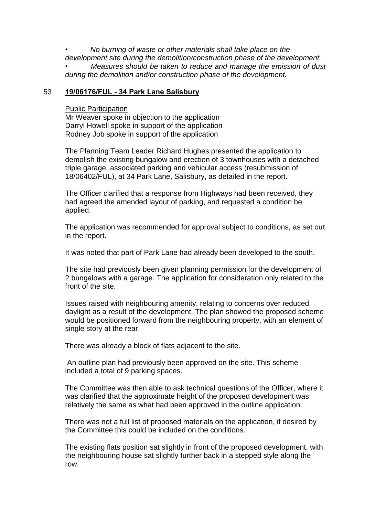*• No burning of waste or other materials shall take place on the development site during the demolition/construction phase of the development.*

*• Measures should be taken to reduce and manage the emission of dust during the demolition and/or construction phase of the development.*

## 53 **19/06176/FUL - 34 Park Lane Salisbury**

#### Public Participation

Mr Weaver spoke in objection to the application Darryl Howell spoke in support of the application Rodney Job spoke in support of the application

The Planning Team Leader Richard Hughes presented the application to demolish the existing bungalow and erection of 3 townhouses with a detached triple garage, associated parking and vehicular access (resubmission of 18/06402/FUL), at 34 Park Lane, Salisbury, as detailed in the report.

The Officer clarified that a response from Highways had been received, they had agreed the amended layout of parking, and requested a condition be applied.

The application was recommended for approval subject to conditions, as set out in the report.

It was noted that part of Park Lane had already been developed to the south.

The site had previously been given planning permission for the development of 2 bungalows with a garage. The application for consideration only related to the front of the site.

Issues raised with neighbouring amenity, relating to concerns over reduced daylight as a result of the development. The plan showed the proposed scheme would be positioned forward from the neighbouring property, with an element of single story at the rear.

There was already a block of flats adjacent to the site.

An outline plan had previously been approved on the site. This scheme included a total of 9 parking spaces.

The Committee was then able to ask technical questions of the Officer, where it was clarified that the approximate height of the proposed development was relatively the same as what had been approved in the outline application.

There was not a full list of proposed materials on the application, if desired by the Committee this could be included on the conditions.

The existing flats position sat slightly in front of the proposed development, with the neighbouring house sat slightly further back in a stepped style along the row.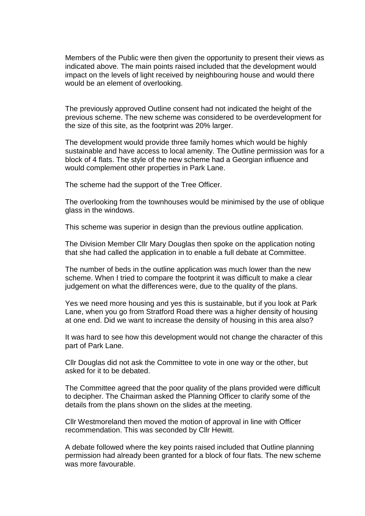Members of the Public were then given the opportunity to present their views as indicated above. The main points raised included that the development would impact on the levels of light received by neighbouring house and would there would be an element of overlooking.

The previously approved Outline consent had not indicated the height of the previous scheme. The new scheme was considered to be overdevelopment for the size of this site, as the footprint was 20% larger.

The development would provide three family homes which would be highly sustainable and have access to local amenity. The Outline permission was for a block of 4 flats. The style of the new scheme had a Georgian influence and would complement other properties in Park Lane.

The scheme had the support of the Tree Officer.

The overlooking from the townhouses would be minimised by the use of oblique glass in the windows.

This scheme was superior in design than the previous outline application.

The Division Member Cllr Mary Douglas then spoke on the application noting that she had called the application in to enable a full debate at Committee.

The number of beds in the outline application was much lower than the new scheme. When I tried to compare the footprint it was difficult to make a clear judgement on what the differences were, due to the quality of the plans.

Yes we need more housing and yes this is sustainable, but if you look at Park Lane, when you go from Stratford Road there was a higher density of housing at one end. Did we want to increase the density of housing in this area also?

It was hard to see how this development would not change the character of this part of Park Lane.

Cllr Douglas did not ask the Committee to vote in one way or the other, but asked for it to be debated.

The Committee agreed that the poor quality of the plans provided were difficult to decipher. The Chairman asked the Planning Officer to clarify some of the details from the plans shown on the slides at the meeting.

Cllr Westmoreland then moved the motion of approval in line with Officer recommendation. This was seconded by Cllr Hewitt.

A debate followed where the key points raised included that Outline planning permission had already been granted for a block of four flats. The new scheme was more favourable.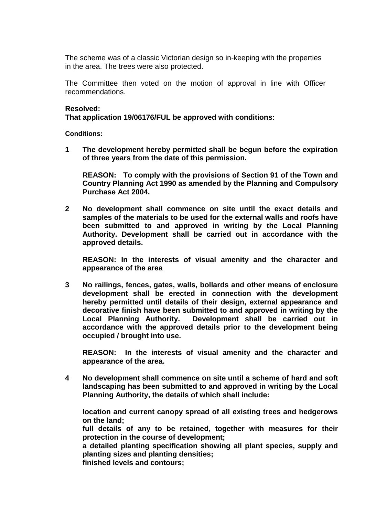The scheme was of a classic Victorian design so in-keeping with the properties in the area. The trees were also protected.

The Committee then voted on the motion of approval in line with Officer recommendations.

#### **Resolved:**

**That application 19/06176/FUL be approved with conditions:** 

**Conditions:** 

**1 The development hereby permitted shall be begun before the expiration of three years from the date of this permission.**

**REASON: To comply with the provisions of Section 91 of the Town and Country Planning Act 1990 as amended by the Planning and Compulsory Purchase Act 2004.**

**2 No development shall commence on site until the exact details and samples of the materials to be used for the external walls and roofs have been submitted to and approved in writing by the Local Planning Authority. Development shall be carried out in accordance with the approved details.**

**REASON: In the interests of visual amenity and the character and appearance of the area**

**3 No railings, fences, gates, walls, bollards and other means of enclosure development shall be erected in connection with the development hereby permitted until details of their design, external appearance and decorative finish have been submitted to and approved in writing by the Local Planning Authority. Development shall be carried out in accordance with the approved details prior to the development being occupied / brought into use.**

**REASON: In the interests of visual amenity and the character and appearance of the area.**

**4 No development shall commence on site until a scheme of hard and soft landscaping has been submitted to and approved in writing by the Local Planning Authority, the details of which shall include:**

**location and current canopy spread of all existing trees and hedgerows on the land;**

**full details of any to be retained, together with measures for their protection in the course of development;**

**a detailed planting specification showing all plant species, supply and planting sizes and planting densities;** 

**finished levels and contours;**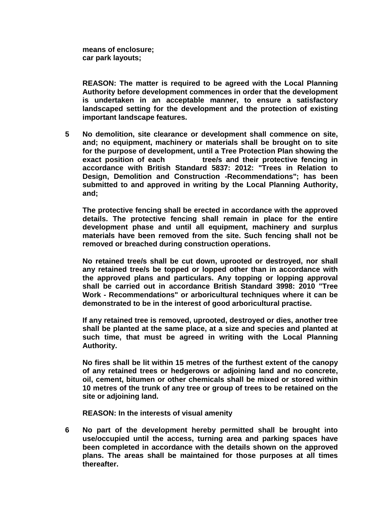**means of enclosure; car park layouts;** 

**REASON: The matter is required to be agreed with the Local Planning Authority before development commences in order that the development is undertaken in an acceptable manner, to ensure a satisfactory landscaped setting for the development and the protection of existing important landscape features.**

**5 No demolition, site clearance or development shall commence on site, and; no equipment, machinery or materials shall be brought on to site for the purpose of development, until a Tree Protection Plan showing the exact position of each tree/s and their protective fencing in accordance with British Standard 5837: 2012: "Trees in Relation to Design, Demolition and Construction -Recommendations"; has been submitted to and approved in writing by the Local Planning Authority, and;** 

**The protective fencing shall be erected in accordance with the approved details. The protective fencing shall remain in place for the entire development phase and until all equipment, machinery and surplus materials have been removed from the site. Such fencing shall not be removed or breached during construction operations.**

**No retained tree/s shall be cut down, uprooted or destroyed, nor shall any retained tree/s be topped or lopped other than in accordance with the approved plans and particulars. Any topping or lopping approval shall be carried out in accordance British Standard 3998: 2010 "Tree Work - Recommendations" or arboricultural techniques where it can be demonstrated to be in the interest of good arboricultural practise.**

**If any retained tree is removed, uprooted, destroyed or dies, another tree shall be planted at the same place, at a size and species and planted at such time, that must be agreed in writing with the Local Planning Authority.**

**No fires shall be lit within 15 metres of the furthest extent of the canopy of any retained trees or hedgerows or adjoining land and no concrete, oil, cement, bitumen or other chemicals shall be mixed or stored within 10 metres of the trunk of any tree or group of trees to be retained on the site or adjoining land.**

**REASON: In the interests of visual amenity** 

**6 No part of the development hereby permitted shall be brought into use/occupied until the access, turning area and parking spaces have been completed in accordance with the details shown on the approved plans. The areas shall be maintained for those purposes at all times thereafter.**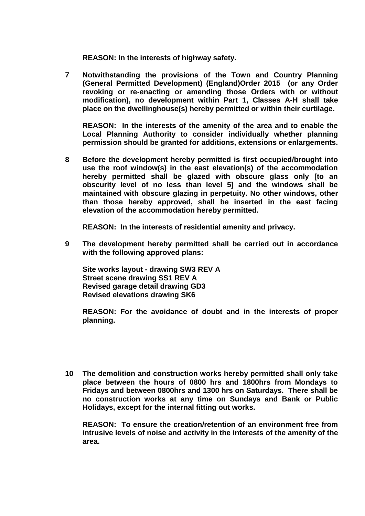**REASON: In the interests of highway safety.**

**7 Notwithstanding the provisions of the Town and Country Planning (General Permitted Development) (England)Order 2015 (or any Order revoking or re-enacting or amending those Orders with or without modification), no development within Part 1, Classes A-H shall take place on the dwellinghouse(s) hereby permitted or within their curtilage.**

**REASON: In the interests of the amenity of the area and to enable the Local Planning Authority to consider individually whether planning permission should be granted for additions, extensions or enlargements.**

**8 Before the development hereby permitted is first occupied/brought into use the roof window(s) in the east elevation(s) of the accommodation hereby permitted shall be glazed with obscure glass only [to an obscurity level of no less than level 5] and the windows shall be maintained with obscure glazing in perpetuity. No other windows, other than those hereby approved, shall be inserted in the east facing elevation of the accommodation hereby permitted.** 

**REASON: In the interests of residential amenity and privacy.**

**9 The development hereby permitted shall be carried out in accordance with the following approved plans:** 

**Site works layout - drawing SW3 REV A Street scene drawing SS1 REV A Revised garage detail drawing GD3 Revised elevations drawing SK6**

**REASON: For the avoidance of doubt and in the interests of proper planning.**

**10 The demolition and construction works hereby permitted shall only take place between the hours of 0800 hrs and 1800hrs from Mondays to Fridays and between 0800hrs and 1300 hrs on Saturdays. There shall be no construction works at any time on Sundays and Bank or Public Holidays, except for the internal fitting out works.** 

**REASON: To ensure the creation/retention of an environment free from intrusive levels of noise and activity in the interests of the amenity of the area.**